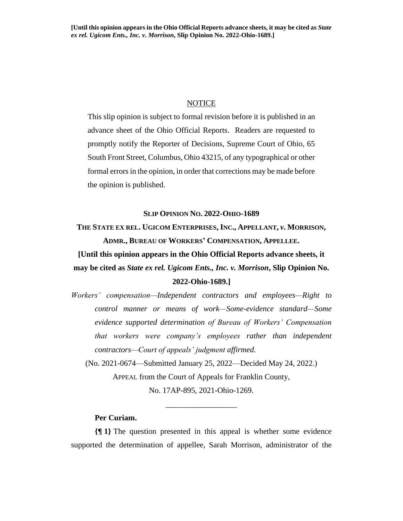## **NOTICE**

This slip opinion is subject to formal revision before it is published in an advance sheet of the Ohio Official Reports. Readers are requested to promptly notify the Reporter of Decisions, Supreme Court of Ohio, 65 South Front Street, Columbus, Ohio 43215, of any typographical or other formal errors in the opinion, in order that corrections may be made before the opinion is published.

## **SLIP OPINION NO. 2022-OHIO-1689**

**THE STATE EX REL. UGICOM ENTERPRISES, INC., APPELLANT,** *v***. MORRISON, ADMR., BUREAU OF WORKERS' COMPENSATION, APPELLEE.**

**[Until this opinion appears in the Ohio Official Reports advance sheets, it may be cited as** *State ex rel. Ugicom Ents., Inc. v. Morrison***, Slip Opinion No. 2022-Ohio-1689.]**

*Workers' compensation—Independent contractors and employees—Right to control manner or means of work—Some-evidence standard—Some evidence supported determination of Bureau of Workers' Compensation that workers were company's employees rather than independent contractors—Court of appeals' judgment affirmed.*

(No. 2021-0674—Submitted January 25, 2022—Decided May 24, 2022.) APPEAL from the Court of Appeals for Franklin County, No. 17AP-895, 2021-Ohio-1269.

\_\_\_\_\_\_\_\_\_\_\_\_\_\_\_\_\_\_

# **Per Curiam.**

**{¶ 1}** The question presented in this appeal is whether some evidence supported the determination of appellee, Sarah Morrison, administrator of the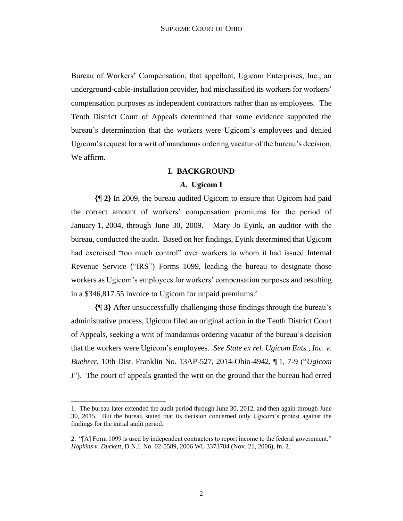Bureau of Workers' Compensation, that appellant, Ugicom Enterprises, Inc., an underground-cable-installation provider, had misclassified its workers for workers' compensation purposes as independent contractors rather than as employees. The Tenth District Court of Appeals determined that some evidence supported the bureau's determination that the workers were Ugicom's employees and denied Ugicom's request for a writ of mandamus ordering vacatur of the bureau's decision. We affirm.

## **I. BACKGROUND**

## *A.* **Ugicom I**

**{¶ 2}** In 2009, the bureau audited Ugicom to ensure that Ugicom had paid the correct amount of workers' compensation premiums for the period of January 1, 2004, through June 30, 2009.<sup>1</sup> Mary Jo Eyink, an auditor with the bureau, conducted the audit. Based on her findings, Eyink determined that Ugicom had exercised "too much control" over workers to whom it had issued Internal Revenue Service ("IRS") Forms 1099, leading the bureau to designate those workers as Ugicom's employees for workers' compensation purposes and resulting in a \$346,817.55 invoice to Ugicom for unpaid premiums. 2

**{¶ 3}** After unsuccessfully challenging those findings through the bureau's administrative process, Ugicom filed an original action in the Tenth District Court of Appeals, seeking a writ of mandamus ordering vacatur of the bureau's decision that the workers were Ugicom's employees. *See State ex rel. Ugicom Ents., Inc. v. Buehrer*, 10th Dist. Franklin No. 13AP-527, 2014-Ohio-4942, ¶ 1, 7-9 ("*Ugicom I*"). The court of appeals granted the writ on the ground that the bureau had erred

<sup>1.</sup> The bureau later extended the audit period through June 30, 2012, and then again through June 30, 2015. But the bureau stated that its decision concerned only Ugicom's protest against the findings for the initial audit period.

<sup>2. &</sup>quot;[A] Form 1099 is used by independent contractors to report income to the federal government." *Hopkins v. Duckett*, D.N.J. No. 02-5589, 2006 WL 3373784 (Nov. 21, 2006), fn. 2.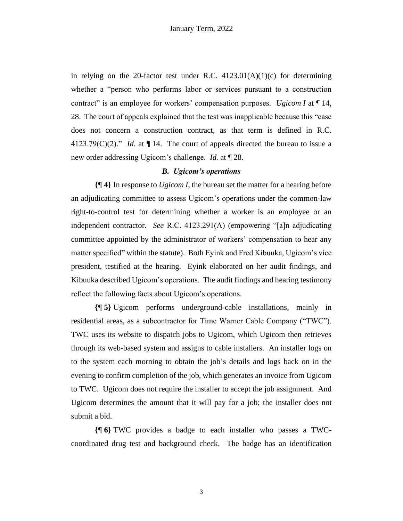in relying on the 20-factor test under R.C.  $4123.01(A)(1)(c)$  for determining whether a "person who performs labor or services pursuant to a construction contract" is an employee for workers' compensation purposes. *Ugicom I* at ¶ 14, 28. The court of appeals explained that the test was inapplicable because this "case does not concern a construction contract, as that term is defined in R.C.  $4123.79(C)(2)$ ." *Id.* at  $\P$  14. The court of appeals directed the bureau to issue a new order addressing Ugicom's challenge. *Id.* at ¶ 28.

## *B. Ugicom's operations*

**{¶ 4}** In response to *Ugicom I*, the bureau set the matter for a hearing before an adjudicating committee to assess Ugicom's operations under the common-law right-to-control test for determining whether a worker is an employee or an independent contractor. *See* R.C. 4123.291(A) (empowering "[a]n adjudicating committee appointed by the administrator of workers' compensation to hear any matter specified" within the statute). Both Eyink and Fred Kibuuka, Ugicom's vice president, testified at the hearing. Eyink elaborated on her audit findings, and Kibuuka described Ugicom's operations. The audit findings and hearing testimony reflect the following facts about Ugicom's operations.

**{¶ 5}** Ugicom performs underground-cable installations, mainly in residential areas, as a subcontractor for Time Warner Cable Company ("TWC"). TWC uses its website to dispatch jobs to Ugicom, which Ugicom then retrieves through its web-based system and assigns to cable installers. An installer logs on to the system each morning to obtain the job's details and logs back on in the evening to confirm completion of the job, which generates an invoice from Ugicom to TWC. Ugicom does not require the installer to accept the job assignment. And Ugicom determines the amount that it will pay for a job; the installer does not submit a bid.

**{¶ 6}** TWC provides a badge to each installer who passes a TWCcoordinated drug test and background check. The badge has an identification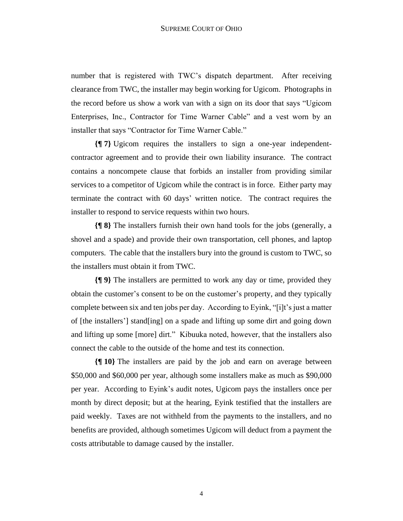number that is registered with TWC's dispatch department. After receiving clearance from TWC, the installer may begin working for Ugicom. Photographs in the record before us show a work van with a sign on its door that says "Ugicom Enterprises, Inc., Contractor for Time Warner Cable" and a vest worn by an installer that says "Contractor for Time Warner Cable."

**{¶ 7}** Ugicom requires the installers to sign a one-year independentcontractor agreement and to provide their own liability insurance. The contract contains a noncompete clause that forbids an installer from providing similar services to a competitor of Ugicom while the contract is in force. Either party may terminate the contract with 60 days' written notice. The contract requires the installer to respond to service requests within two hours.

**{¶ 8}** The installers furnish their own hand tools for the jobs (generally, a shovel and a spade) and provide their own transportation, cell phones, and laptop computers. The cable that the installers bury into the ground is custom to TWC, so the installers must obtain it from TWC.

**{¶ 9}** The installers are permitted to work any day or time, provided they obtain the customer's consent to be on the customer's property, and they typically complete between six and ten jobs per day. According to Eyink, "[i]t's just a matter of [the installers'] stand[ing] on a spade and lifting up some dirt and going down and lifting up some [more] dirt." Kibuuka noted, however, that the installers also connect the cable to the outside of the home and test its connection.

**{¶ 10}** The installers are paid by the job and earn on average between \$50,000 and \$60,000 per year, although some installers make as much as \$90,000 per year. According to Eyink's audit notes, Ugicom pays the installers once per month by direct deposit; but at the hearing, Eyink testified that the installers are paid weekly. Taxes are not withheld from the payments to the installers, and no benefits are provided, although sometimes Ugicom will deduct from a payment the costs attributable to damage caused by the installer.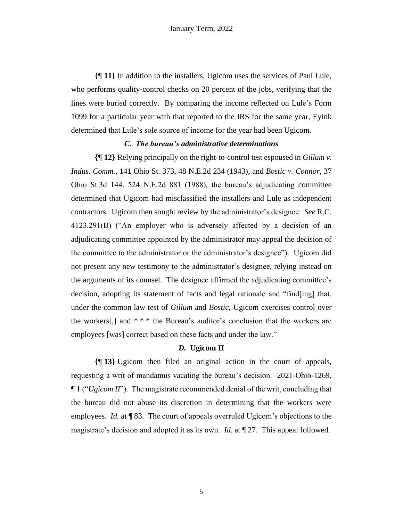**{¶ 11}** In addition to the installers, Ugicom uses the services of Paul Lule, who performs quality-control checks on 20 percent of the jobs, verifying that the lines were buried correctly. By comparing the income reflected on Lule's Form 1099 for a particular year with that reported to the IRS for the same year, Eyink determined that Lule's sole source of income for the year had been Ugicom.

## *C. The bureau's administrative determinations*

**{¶ 12}** Relying principally on the right-to-control test espoused in *Gillum v. Indus. Comm.*, 141 Ohio St. 373, 48 N.E.2d 234 (1943), and *Bostic v. Connor*, 37 Ohio St.3d 144, 524 N.E.2d 881 (1988), the bureau's adjudicating committee determined that Ugicom had misclassified the installers and Lule as independent contractors. Ugicom then sought review by the administrator's designee. *See* R.C. 4123.291(B) ("An employer who is adversely affected by a decision of an adjudicating committee appointed by the administrator may appeal the decision of the committee to the administrator or the administrator's designee"). Ugicom did not present any new testimony to the administrator's designee, relying instead on the arguments of its counsel. The designee affirmed the adjudicating committee's decision, adopting its statement of facts and legal rationale and "find[ing] that, under the common law test of *Gillum* and *Bostic*, Ugicom exercises control over the workers[,] and  $***$  the Bureau's auditor's conclusion that the workers are employees [was] correct based on these facts and under the law."

#### *D.* **Ugicom II**

**{¶ 13}** Ugicom then filed an original action in the court of appeals, requesting a writ of mandamus vacating the bureau's decision. 2021-Ohio-1269, ¶ 1 ("*Ugicom II*"). The magistrate recommended denial of the writ, concluding that the bureau did not abuse its discretion in determining that the workers were employees. *Id.* at ¶ 83. The court of appeals overruled Ugicom's objections to the magistrate's decision and adopted it as its own. *Id.* at ¶ 27. This appeal followed.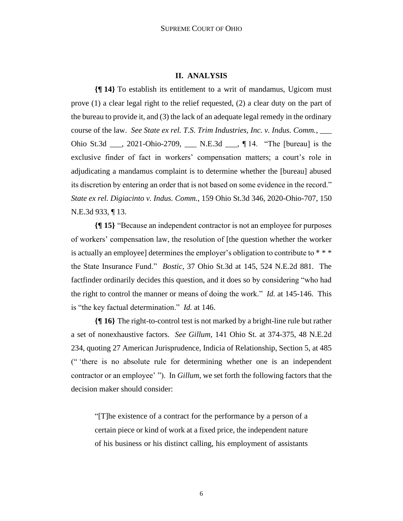#### **II. ANALYSIS**

**{¶ 14}** To establish its entitlement to a writ of mandamus, Ugicom must prove (1) a clear legal right to the relief requested, (2) a clear duty on the part of the bureau to provide it, and (3) the lack of an adequate legal remedy in the ordinary course of the law. *See State ex rel. T.S. Trim Industries, Inc. v. Indus. Comm.*, \_\_\_ Ohio St.3d \_\_\_, 2021-Ohio-2709, \_\_\_ N.E.3d \_\_\_, ¶ 14. "The [bureau] is the exclusive finder of fact in workers' compensation matters; a court's role in adjudicating a mandamus complaint is to determine whether the [bureau] abused its discretion by entering an order that is not based on some evidence in the record." *State ex rel. Digiacinto v. Indus. Comm.*, 159 Ohio St.3d 346, 2020-Ohio-707, 150 N.E.3d 933, ¶ 13.

**{¶ 15}** "Because an independent contractor is not an employee for purposes of workers' compensation law, the resolution of [the question whether the worker is actually an employee] determines the employer's obligation to contribute to \* \* \* the State Insurance Fund." *Bostic*, 37 Ohio St.3d at 145, 524 N.E.2d 881. The factfinder ordinarily decides this question, and it does so by considering "who had the right to control the manner or means of doing the work." *Id.* at 145-146. This is "the key factual determination." *Id.* at 146.

**{¶ 16}** The right-to-control test is not marked by a bright-line rule but rather a set of nonexhaustive factors. *See Gillum*, 141 Ohio St. at 374-375, 48 N.E.2d 234, quoting 27 American Jurisprudence, Indicia of Relationship, Section 5, at 485 (" 'there is no absolute rule for determining whether one is an independent contractor or an employee' "). In *Gillum*, we set forth the following factors that the decision maker should consider:

"[T]he existence of a contract for the performance by a person of a certain piece or kind of work at a fixed price, the independent nature of his business or his distinct calling, his employment of assistants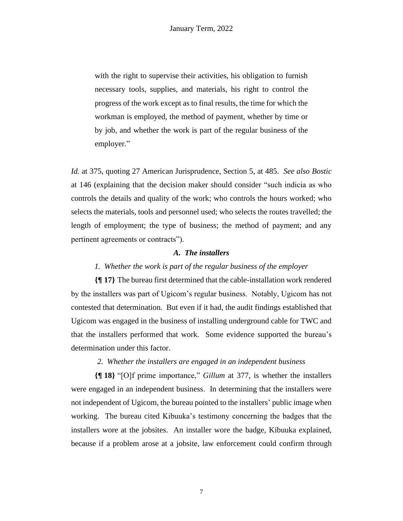with the right to supervise their activities, his obligation to furnish necessary tools, supplies, and materials, his right to control the progress of the work except as to final results, the time for which the workman is employed, the method of payment, whether by time or by job, and whether the work is part of the regular business of the employer."

*Id.* at 375, quoting 27 American Jurisprudence, Section 5, at 485. *See also Bostic* at 146 (explaining that the decision maker should consider "such indicia as who controls the details and quality of the work; who controls the hours worked; who selects the materials, tools and personnel used; who selects the routes travelled; the length of employment; the type of business; the method of payment; and any pertinent agreements or contracts").

## *A. The installers*

## *1. Whether the work is part of the regular business of the employer*

**{¶ 17}** The bureau first determined that the cable-installation work rendered by the installers was part of Ugicom's regular business. Notably, Ugicom has not contested that determination. But even if it had, the audit findings established that Ugicom was engaged in the business of installing underground cable for TWC and that the installers performed that work. Some evidence supported the bureau's determination under this factor.

## *2. Whether the installers are engaged in an independent business*

**{¶ 18}** "[O]f prime importance," *Gillum* at 377, is whether the installers were engaged in an independent business. In determining that the installers were not independent of Ugicom, the bureau pointed to the installers' public image when working. The bureau cited Kibuuka's testimony concerning the badges that the installers wore at the jobsites. An installer wore the badge, Kibuuka explained, because if a problem arose at a jobsite, law enforcement could confirm through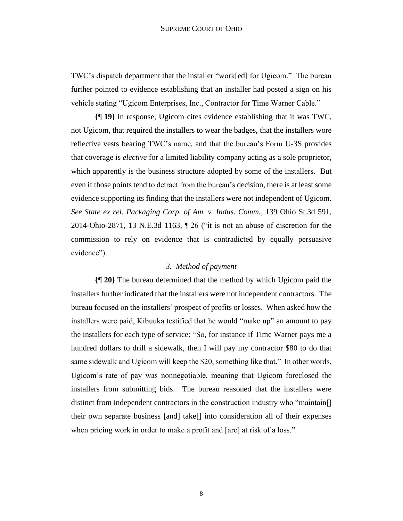TWC's dispatch department that the installer "work[ed] for Ugicom." The bureau further pointed to evidence establishing that an installer had posted a sign on his vehicle stating "Ugicom Enterprises, Inc., Contractor for Time Warner Cable."

**{¶ 19}** In response, Ugicom cites evidence establishing that it was TWC, not Ugicom, that required the installers to wear the badges, that the installers wore reflective vests bearing TWC's name, and that the bureau's Form U-3S provides that coverage is *elective* for a limited liability company acting as a sole proprietor, which apparently is the business structure adopted by some of the installers. But even if those points tend to detract from the bureau's decision, there is at least some evidence supporting its finding that the installers were not independent of Ugicom. *See State ex rel. Packaging Corp. of Am. v. Indus. Comm.*, 139 Ohio St.3d 591, 2014-Ohio-2871, 13 N.E.3d 1163, ¶ 26 ("it is not an abuse of discretion for the commission to rely on evidence that is contradicted by equally persuasive evidence").

#### *3. Method of payment*

**{¶ 20}** The bureau determined that the method by which Ugicom paid the installers further indicated that the installers were not independent contractors. The bureau focused on the installers' prospect of profits or losses. When asked how the installers were paid, Kibuuka testified that he would "make up" an amount to pay the installers for each type of service: "So, for instance if Time Warner pays me a hundred dollars to drill a sidewalk, then I will pay my contractor \$80 to do that same sidewalk and Ugicom will keep the \$20, something like that." In other words, Ugicom's rate of pay was nonnegotiable, meaning that Ugicom foreclosed the installers from submitting bids. The bureau reasoned that the installers were distinct from independent contractors in the construction industry who "maintain[] their own separate business [and] take[] into consideration all of their expenses when pricing work in order to make a profit and [are] at risk of a loss."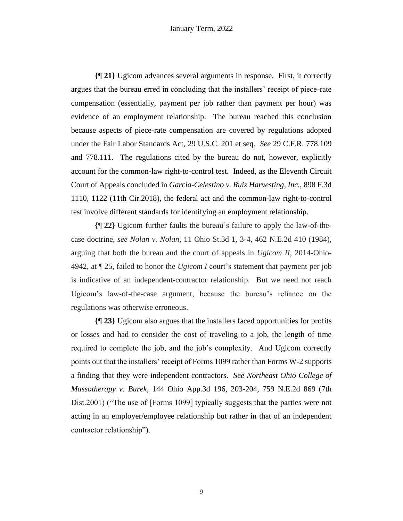**{¶ 21}** Ugicom advances several arguments in response. First, it correctly argues that the bureau erred in concluding that the installers' receipt of piece-rate compensation (essentially, payment per job rather than payment per hour) was evidence of an employment relationship. The bureau reached this conclusion because aspects of piece-rate compensation are covered by regulations adopted under the Fair Labor Standards Act, 29 U.S.C. 201 et seq. *See* 29 C.F.R. 778.109 and 778.111. The regulations cited by the bureau do not, however, explicitly account for the common-law right-to-control test. Indeed, as the Eleventh Circuit Court of Appeals concluded in *Garcia-Celestino v. Ruiz Harvesting, Inc.*, 898 F.3d 1110, 1122 (11th Cir.2018), the federal act and the common-law right-to-control test involve different standards for identifying an employment relationship.

**{¶ 22}** Ugicom further faults the bureau's failure to apply the law-of-thecase doctrine, *see Nolan v. Nolan*, 11 Ohio St.3d 1, 3-4, 462 N.E.2d 410 (1984), arguing that both the bureau and the court of appeals in *Ugicom II*, 2014-Ohio-4942, at ¶ 25, failed to honor the *Ugicom I* court's statement that payment per job is indicative of an independent-contractor relationship. But we need not reach Ugicom's law-of-the-case argument, because the bureau's reliance on the regulations was otherwise erroneous.

**{¶ 23}** Ugicom also argues that the installers faced opportunities for profits or losses and had to consider the cost of traveling to a job, the length of time required to complete the job, and the job's complexity. And Ugicom correctly points out that the installers' receipt of Forms 1099 rather than Forms W-2 supports a finding that they were independent contractors. *See Northeast Ohio College of Massotherapy v. Burek*, 144 Ohio App.3d 196, 203-204, 759 N.E.2d 869 (7th Dist.2001) ("The use of [Forms 1099] typically suggests that the parties were not acting in an employer/employee relationship but rather in that of an independent contractor relationship").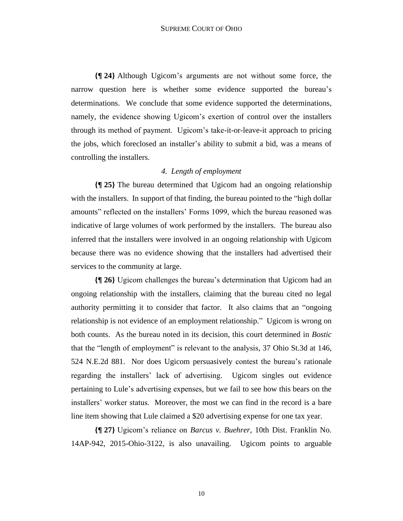**{¶ 24}** Although Ugicom's arguments are not without some force, the narrow question here is whether some evidence supported the bureau's determinations. We conclude that some evidence supported the determinations, namely, the evidence showing Ugicom's exertion of control over the installers through its method of payment. Ugicom's take-it-or-leave-it approach to pricing the jobs, which foreclosed an installer's ability to submit a bid, was a means of controlling the installers.

# *4. Length of employment*

**{¶ 25}** The bureau determined that Ugicom had an ongoing relationship with the installers. In support of that finding, the bureau pointed to the "high dollar amounts" reflected on the installers' Forms 1099, which the bureau reasoned was indicative of large volumes of work performed by the installers. The bureau also inferred that the installers were involved in an ongoing relationship with Ugicom because there was no evidence showing that the installers had advertised their services to the community at large.

**{¶ 26}** Ugicom challenges the bureau's determination that Ugicom had an ongoing relationship with the installers, claiming that the bureau cited no legal authority permitting it to consider that factor. It also claims that an "ongoing relationship is not evidence of an employment relationship." Ugicom is wrong on both counts. As the bureau noted in its decision, this court determined in *Bostic* that the "length of employment" is relevant to the analysis, 37 Ohio St.3d at 146, 524 N.E.2d 881. Nor does Ugicom persuasively contest the bureau's rationale regarding the installers' lack of advertising. Ugicom singles out evidence pertaining to Lule's advertising expenses, but we fail to see how this bears on the installers' worker status. Moreover, the most we can find in the record is a bare line item showing that Lule claimed a \$20 advertising expense for one tax year.

**{¶ 27}** Ugicom's reliance on *Barcus v. Buehrer*, 10th Dist. Franklin No. 14AP-942, 2015-Ohio-3122, is also unavailing. Ugicom points to arguable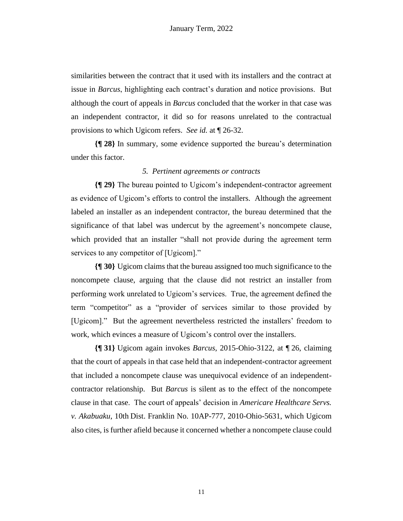similarities between the contract that it used with its installers and the contract at issue in *Barcus*, highlighting each contract's duration and notice provisions. But although the court of appeals in *Barcus* concluded that the worker in that case was an independent contractor, it did so for reasons unrelated to the contractual provisions to which Ugicom refers. *See id.* at ¶ 26-32.

**{¶ 28}** In summary, some evidence supported the bureau's determination under this factor.

## *5. Pertinent agreements or contracts*

**{¶ 29}** The bureau pointed to Ugicom's independent-contractor agreement as evidence of Ugicom's efforts to control the installers. Although the agreement labeled an installer as an independent contractor, the bureau determined that the significance of that label was undercut by the agreement's noncompete clause, which provided that an installer "shall not provide during the agreement term services to any competitor of [Ugicom]."

**{¶ 30}** Ugicom claims that the bureau assigned too much significance to the noncompete clause, arguing that the clause did not restrict an installer from performing work unrelated to Ugicom's services. True, the agreement defined the term "competitor" as a "provider of services similar to those provided by [Ugicom]." But the agreement nevertheless restricted the installers' freedom to work, which evinces a measure of Ugicom's control over the installers.

**{¶ 31}** Ugicom again invokes *Barcus*, 2015-Ohio-3122, at ¶ 26, claiming that the court of appeals in that case held that an independent-contractor agreement that included a noncompete clause was unequivocal evidence of an independentcontractor relationship. But *Barcus* is silent as to the effect of the noncompete clause in that case. The court of appeals' decision in *Americare Healthcare Servs. v. Akabuaku*, 10th Dist. Franklin No. 10AP-777, 2010-Ohio-5631, which Ugicom also cites, is further afield because it concerned whether a noncompete clause could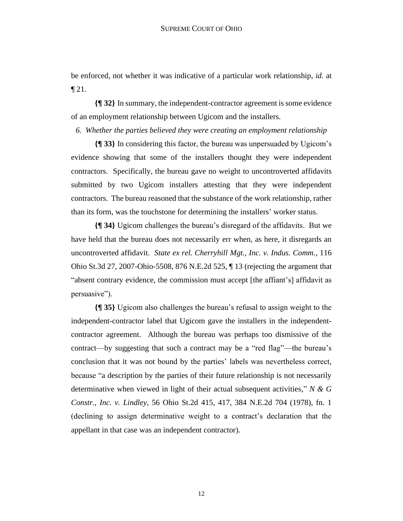be enforced, not whether it was indicative of a particular work relationship, *id.* at  $\P$  21.

**{¶ 32}** In summary, the independent-contractor agreement is some evidence of an employment relationship between Ugicom and the installers.

*6. Whether the parties believed they were creating an employment relationship*

**{¶ 33}** In considering this factor, the bureau was unpersuaded by Ugicom's evidence showing that some of the installers thought they were independent contractors. Specifically, the bureau gave no weight to uncontroverted affidavits submitted by two Ugicom installers attesting that they were independent contractors. The bureau reasoned that the substance of the work relationship, rather than its form, was the touchstone for determining the installers' worker status.

**{¶ 34}** Ugicom challenges the bureau's disregard of the affidavits. But we have held that the bureau does not necessarily err when, as here, it disregards an uncontroverted affidavit. *State ex rel. Cherryhill Mgt., Inc. v. Indus. Comm.*, 116 Ohio St.3d 27, 2007-Ohio-5508, 876 N.E.2d 525, ¶ 13 (rejecting the argument that "absent contrary evidence, the commission must accept [the affiant's] affidavit as persuasive").

**{¶ 35}** Ugicom also challenges the bureau's refusal to assign weight to the independent-contractor label that Ugicom gave the installers in the independentcontractor agreement. Although the bureau was perhaps too dismissive of the contract—by suggesting that such a contract may be a "red flag"—the bureau's conclusion that it was not bound by the parties' labels was nevertheless correct, because "a description by the parties of their future relationship is not necessarily determinative when viewed in light of their actual subsequent activities," *N & G Constr., Inc. v. Lindley*, 56 Ohio St.2d 415, 417, 384 N.E.2d 704 (1978), fn. 1 (declining to assign determinative weight to a contract's declaration that the appellant in that case was an independent contractor).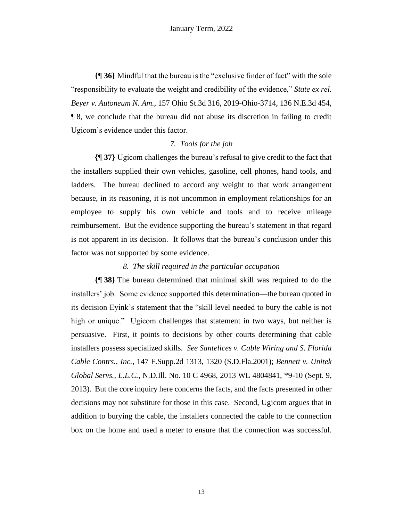**{¶ 36}** Mindful that the bureau is the "exclusive finder of fact" with the sole "responsibility to evaluate the weight and credibility of the evidence," *State ex rel. Beyer v. Autoneum N. Am.*, 157 Ohio St.3d 316, 2019-Ohio-3714, 136 N.E.3d 454, ¶ 8, we conclude that the bureau did not abuse its discretion in failing to credit Ugicom's evidence under this factor.

## *7. Tools for the job*

**{¶ 37}** Ugicom challenges the bureau's refusal to give credit to the fact that the installers supplied their own vehicles, gasoline, cell phones, hand tools, and ladders. The bureau declined to accord any weight to that work arrangement because, in its reasoning, it is not uncommon in employment relationships for an employee to supply his own vehicle and tools and to receive mileage reimbursement. But the evidence supporting the bureau's statement in that regard is not apparent in its decision. It follows that the bureau's conclusion under this factor was not supported by some evidence.

## *8. The skill required in the particular occupation*

**{¶ 38}** The bureau determined that minimal skill was required to do the installers' job. Some evidence supported this determination—the bureau quoted in its decision Eyink's statement that the "skill level needed to bury the cable is not high or unique." Ugicom challenges that statement in two ways, but neither is persuasive. First, it points to decisions by other courts determining that cable installers possess specialized skills*. See Santelices v. Cable Wiring and S. Florida Cable Contrs., Inc.*, 147 F.Supp.2d 1313, 1320 (S.D.Fla.2001); *Bennett v. Unitek Global Servs., L.L.C.*, N.D.Ill. No. 10 C 4968, 2013 WL 4804841, \*9-10 (Sept. 9, 2013). But the core inquiry here concerns the facts, and the facts presented in other decisions may not substitute for those in this case. Second, Ugicom argues that in addition to burying the cable, the installers connected the cable to the connection box on the home and used a meter to ensure that the connection was successful.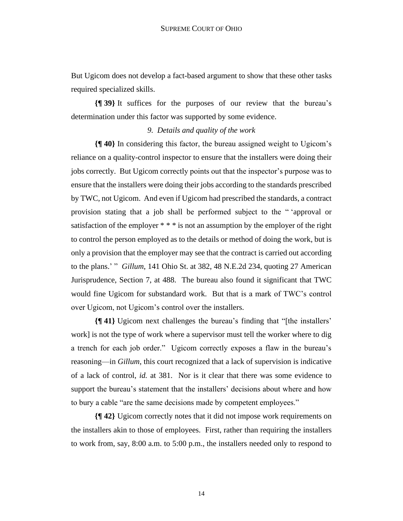But Ugicom does not develop a fact-based argument to show that these other tasks required specialized skills.

**{¶ 39}** It suffices for the purposes of our review that the bureau's determination under this factor was supported by some evidence.

#### *9. Details and quality of the work*

**{¶ 40}** In considering this factor, the bureau assigned weight to Ugicom's reliance on a quality-control inspector to ensure that the installers were doing their jobs correctly. But Ugicom correctly points out that the inspector's purpose was to ensure that the installers were doing their jobs according to the standards prescribed by TWC, not Ugicom. And even if Ugicom had prescribed the standards, a contract provision stating that a job shall be performed subject to the " 'approval or satisfaction of the employer \* \* \* is not an assumption by the employer of the right to control the person employed as to the details or method of doing the work, but is only a provision that the employer may see that the contract is carried out according to the plans.' " *Gillum*, 141 Ohio St. at 382, 48 N.E.2d 234, quoting 27 American Jurisprudence, Section 7, at 488. The bureau also found it significant that TWC would fine Ugicom for substandard work. But that is a mark of TWC's control over Ugicom, not Ugicom's control over the installers.

**{¶ 41}** Ugicom next challenges the bureau's finding that "[the installers' work] is not the type of work where a supervisor must tell the worker where to dig a trench for each job order." Ugicom correctly exposes a flaw in the bureau's reasoning—in *Gillum*, this court recognized that a lack of supervision is indicative of a lack of control, *id.* at 381. Nor is it clear that there was some evidence to support the bureau's statement that the installers' decisions about where and how to bury a cable "are the same decisions made by competent employees."

**{¶ 42}** Ugicom correctly notes that it did not impose work requirements on the installers akin to those of employees. First, rather than requiring the installers to work from, say, 8:00 a.m. to 5:00 p.m., the installers needed only to respond to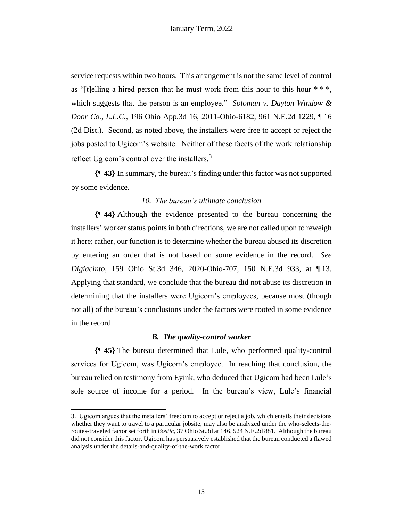service requests within two hours. This arrangement is not the same level of control as "[t]elling a hired person that he must work from this hour to this hour  $**$ , which suggests that the person is an employee." *Soloman v. Dayton Window & Door Co., L.L.C.*, 196 Ohio App.3d 16, 2011-Ohio-6182, 961 N.E.2d 1229, ¶ 16 (2d Dist.). Second, as noted above, the installers were free to accept or reject the jobs posted to Ugicom's website. Neither of these facets of the work relationship reflect Ugicom's control over the installers.<sup>3</sup>

**{¶ 43}** In summary, the bureau's finding under this factor was not supported by some evidence.

## *10. The bureau's ultimate conclusion*

**{¶ 44}** Although the evidence presented to the bureau concerning the installers' worker status points in both directions, we are not called upon to reweigh it here; rather, our function is to determine whether the bureau abused its discretion by entering an order that is not based on some evidence in the record. *See Digiacinto*, 159 Ohio St.3d 346, 2020-Ohio-707, 150 N.E.3d 933, at ¶ 13. Applying that standard, we conclude that the bureau did not abuse its discretion in determining that the installers were Ugicom's employees, because most (though not all) of the bureau's conclusions under the factors were rooted in some evidence in the record.

## *B. The quality-control worker*

**{¶ 45}** The bureau determined that Lule, who performed quality-control services for Ugicom, was Ugicom's employee. In reaching that conclusion, the bureau relied on testimony from Eyink, who deduced that Ugicom had been Lule's sole source of income for a period. In the bureau's view, Lule's financial

<sup>3.</sup> Ugicom argues that the installers' freedom to accept or reject a job, which entails their decisions whether they want to travel to a particular jobsite, may also be analyzed under the who-selects-theroutes-traveled factor set forth in *Bostic*, 37 Ohio St.3d at 146, 524 N.E.2d 881. Although the bureau did not consider this factor, Ugicom has persuasively established that the bureau conducted a flawed analysis under the details-and-quality-of-the-work factor.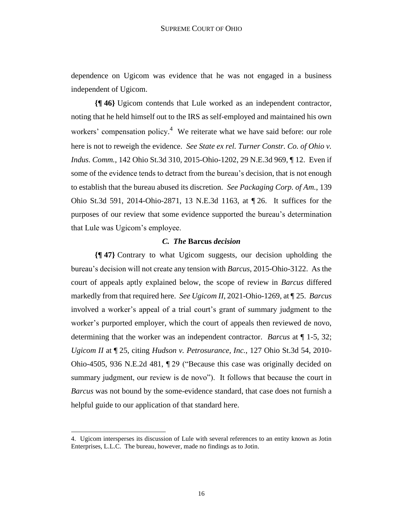dependence on Ugicom was evidence that he was not engaged in a business independent of Ugicom.

**{¶ 46}** Ugicom contends that Lule worked as an independent contractor, noting that he held himself out to the IRS as self-employed and maintained his own workers' compensation policy.<sup>4</sup> We reiterate what we have said before: our role here is not to reweigh the evidence. *See State ex rel. Turner Constr. Co. of Ohio v. Indus. Comm.*, 142 Ohio St.3d 310, 2015-Ohio-1202, 29 N.E.3d 969, ¶ 12. Even if some of the evidence tends to detract from the bureau's decision, that is not enough to establish that the bureau abused its discretion. *See Packaging Corp. of Am.*, 139 Ohio St.3d 591, 2014-Ohio-2871, 13 N.E.3d 1163, at ¶ 26. It suffices for the purposes of our review that some evidence supported the bureau's determination that Lule was Ugicom's employee.

#### *C. The* **Barcus** *decision*

**{¶ 47}** Contrary to what Ugicom suggests, our decision upholding the bureau's decision will not create any tension with *Barcus*, 2015-Ohio-3122. As the court of appeals aptly explained below, the scope of review in *Barcus* differed markedly from that required here. *See Ugicom II*, 2021-Ohio-1269, at ¶ 25. *Barcus* involved a worker's appeal of a trial court's grant of summary judgment to the worker's purported employer, which the court of appeals then reviewed de novo, determining that the worker was an independent contractor. *Barcus* at ¶ 1-5, 32; *Ugicom II* at ¶ 25, citing *Hudson v. Petrosurance, Inc.*, 127 Ohio St.3d 54, 2010- Ohio-4505, 936 N.E.2d 481, ¶ 29 ("Because this case was originally decided on summary judgment, our review is de novo"). It follows that because the court in *Barcus* was not bound by the some-evidence standard, that case does not furnish a helpful guide to our application of that standard here.

<sup>4.</sup> Ugicom intersperses its discussion of Lule with several references to an entity known as Jotin Enterprises, L.L.C. The bureau, however, made no findings as to Jotin.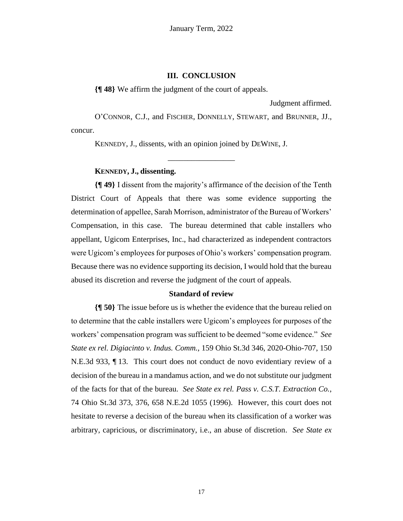#### **III. CONCLUSION**

**{¶ 48}** We affirm the judgment of the court of appeals.

Judgment affirmed.

O'CONNOR, C.J., and FISCHER, DONNELLY, STEWART, and BRUNNER, JJ., concur.

\_\_\_\_\_\_\_\_\_\_\_\_\_\_\_\_\_

KENNEDY, J., dissents, with an opinion joined by DEWINE, J.

## **KENNEDY, J., dissenting.**

**{¶ 49}** I dissent from the majority's affirmance of the decision of the Tenth District Court of Appeals that there was some evidence supporting the determination of appellee, Sarah Morrison, administrator of the Bureau of Workers' Compensation, in this case. The bureau determined that cable installers who appellant, Ugicom Enterprises, Inc., had characterized as independent contractors were Ugicom's employees for purposes of Ohio's workers' compensation program. Because there was no evidence supporting its decision, I would hold that the bureau abused its discretion and reverse the judgment of the court of appeals.

#### **Standard of review**

**{¶ 50}** The issue before us is whether the evidence that the bureau relied on to determine that the cable installers were Ugicom's employees for purposes of the workers' compensation program was sufficient to be deemed "some evidence." *See State ex rel. Digiacinto v. Indus. Comm.*, 159 Ohio St.3d 346, 2020-Ohio-707, 150 N.E.3d 933, ¶ 13. This court does not conduct de novo evidentiary review of a decision of the bureau in a mandamus action, and we do not substitute our judgment of the facts for that of the bureau. *See State ex rel. Pass v. C.S.T. Extraction Co.*, 74 Ohio St.3d 373, 376, 658 N.E.2d 1055 (1996). However, this court does not hesitate to reverse a decision of the bureau when its classification of a worker was arbitrary, capricious, or discriminatory, i.e., an abuse of discretion. *See State ex*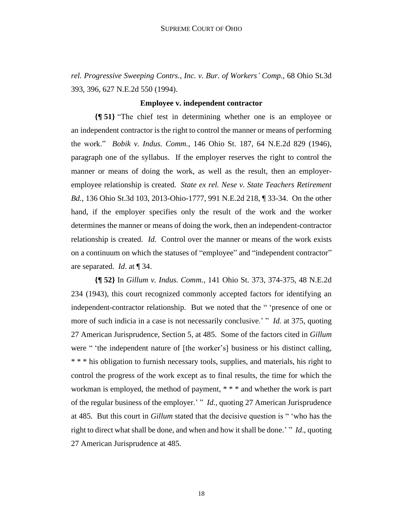*rel. Progressive Sweeping Contrs., Inc. v. Bur. of Workers' Comp.*, 68 Ohio St.3d 393, 396, 627 N.E.2d 550 (1994).

#### **Employee v. independent contractor**

**{¶ 51}** "The chief test in determining whether one is an employee or an independent contractor is the right to control the manner or means of performing the work." *Bobik v. Indus. Comm.*, 146 Ohio St. 187, 64 N.E.2d 829 (1946), paragraph one of the syllabus. If the employer reserves the right to control the manner or means of doing the work, as well as the result, then an employeremployee relationship is created. *State ex rel. Nese v. State Teachers Retirement Bd.*, 136 Ohio St.3d 103, 2013-Ohio-1777, 991 N.E.2d 218, ¶ 33-34. On the other hand, if the employer specifies only the result of the work and the worker determines the manner or means of doing the work, then an independent-contractor relationship is created. *Id.* Control over the manner or means of the work exists on a continuum on which the statuses of "employee" and "independent contractor" are separated. *Id*. at ¶ 34.

**{¶ 52}** In *Gillum v. Indus. Comm.*, 141 Ohio St. 373, 374-375, 48 N.E.2d 234 (1943), this court recognized commonly accepted factors for identifying an independent-contractor relationship. But we noted that the " 'presence of one or more of such indicia in a case is not necessarily conclusive.' " *Id.* at 375, quoting 27 American Jurisprudence, Section 5, at 485. Some of the factors cited in *Gillum* were " 'the independent nature of [the worker's] business or his distinct calling, \* \* \* his obligation to furnish necessary tools, supplies, and materials, his right to control the progress of the work except as to final results, the time for which the workman is employed, the method of payment, \* \* \* and whether the work is part of the regular business of the employer.' " *Id.*, quoting 27 American Jurisprudence at 485. But this court in *Gillum* stated that the decisive question is " 'who has the right to direct what shall be done, and when and how it shall be done.' " *Id*., quoting 27 American Jurisprudence at 485.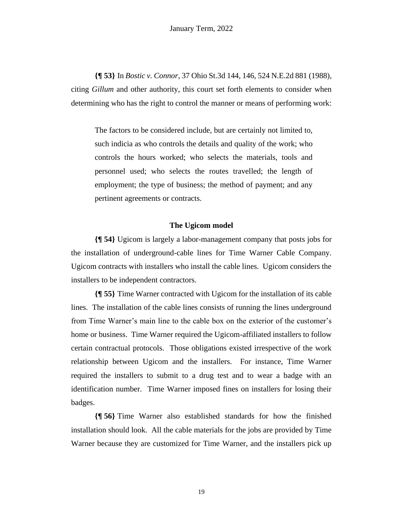**{¶ 53}** In *Bostic v. Connor*, 37 Ohio St.3d 144, 146, 524 N.E.2d 881 (1988), citing *Gillum* and other authority, this court set forth elements to consider when determining who has the right to control the manner or means of performing work:

The factors to be considered include, but are certainly not limited to, such indicia as who controls the details and quality of the work; who controls the hours worked; who selects the materials, tools and personnel used; who selects the routes travelled; the length of employment; the type of business; the method of payment; and any pertinent agreements or contracts.

#### **The Ugicom model**

**{¶ 54}** Ugicom is largely a labor-management company that posts jobs for the installation of underground-cable lines for Time Warner Cable Company. Ugicom contracts with installers who install the cable lines. Ugicom considers the installers to be independent contractors.

**{¶ 55}** Time Warner contracted with Ugicom for the installation of its cable lines. The installation of the cable lines consists of running the lines underground from Time Warner's main line to the cable box on the exterior of the customer's home or business. Time Warner required the Ugicom-affiliated installers to follow certain contractual protocols. Those obligations existed irrespective of the work relationship between Ugicom and the installers. For instance, Time Warner required the installers to submit to a drug test and to wear a badge with an identification number. Time Warner imposed fines on installers for losing their badges.

**{¶ 56}** Time Warner also established standards for how the finished installation should look. All the cable materials for the jobs are provided by Time Warner because they are customized for Time Warner, and the installers pick up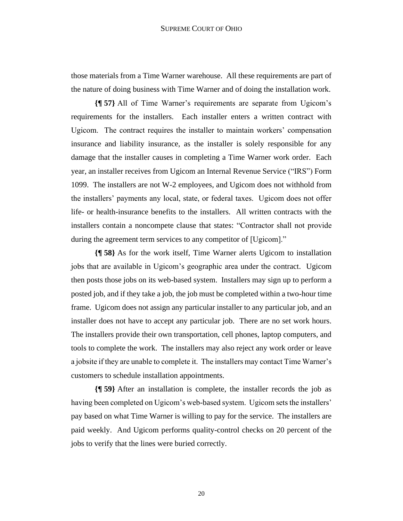those materials from a Time Warner warehouse. All these requirements are part of the nature of doing business with Time Warner and of doing the installation work.

**{¶ 57}** All of Time Warner's requirements are separate from Ugicom's requirements for the installers. Each installer enters a written contract with Ugicom. The contract requires the installer to maintain workers' compensation insurance and liability insurance, as the installer is solely responsible for any damage that the installer causes in completing a Time Warner work order. Each year, an installer receives from Ugicom an Internal Revenue Service ("IRS") Form 1099. The installers are not W-2 employees, and Ugicom does not withhold from the installers' payments any local, state, or federal taxes. Ugicom does not offer life- or health-insurance benefits to the installers. All written contracts with the installers contain a noncompete clause that states: "Contractor shall not provide during the agreement term services to any competitor of [Ugicom]."

**{¶ 58}** As for the work itself, Time Warner alerts Ugicom to installation jobs that are available in Ugicom's geographic area under the contract. Ugicom then posts those jobs on its web-based system. Installers may sign up to perform a posted job, and if they take a job, the job must be completed within a two-hour time frame. Ugicom does not assign any particular installer to any particular job, and an installer does not have to accept any particular job. There are no set work hours. The installers provide their own transportation, cell phones, laptop computers, and tools to complete the work. The installers may also reject any work order or leave a jobsite if they are unable to complete it. The installers may contact Time Warner's customers to schedule installation appointments.

**{¶ 59}** After an installation is complete, the installer records the job as having been completed on Ugicom's web-based system. Ugicom sets the installers' pay based on what Time Warner is willing to pay for the service. The installers are paid weekly. And Ugicom performs quality-control checks on 20 percent of the jobs to verify that the lines were buried correctly.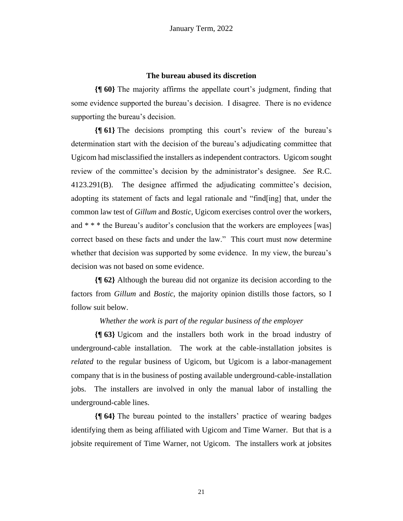## **The bureau abused its discretion**

**{¶ 60}** The majority affirms the appellate court's judgment, finding that some evidence supported the bureau's decision. I disagree. There is no evidence supporting the bureau's decision.

**{¶ 61}** The decisions prompting this court's review of the bureau's determination start with the decision of the bureau's adjudicating committee that Ugicom had misclassified the installers as independent contractors. Ugicom sought review of the committee's decision by the administrator's designee. *See* R.C. 4123.291(B). The designee affirmed the adjudicating committee's decision, adopting its statement of facts and legal rationale and "find[ing] that, under the common law test of *Gillum* and *Bostic*, Ugicom exercises control over the workers, and \* \* \* the Bureau's auditor's conclusion that the workers are employees [was] correct based on these facts and under the law." This court must now determine whether that decision was supported by some evidence. In my view, the bureau's decision was not based on some evidence.

**{¶ 62}** Although the bureau did not organize its decision according to the factors from *Gillum* and *Bostic*, the majority opinion distills those factors, so I follow suit below.

## *Whether the work is part of the regular business of the employer*

**{¶ 63}** Ugicom and the installers both work in the broad industry of underground-cable installation. The work at the cable-installation jobsites is *related* to the regular business of Ugicom, but Ugicom is a labor-management company that is in the business of posting available underground-cable-installation jobs. The installers are involved in only the manual labor of installing the underground-cable lines.

**{¶ 64}** The bureau pointed to the installers' practice of wearing badges identifying them as being affiliated with Ugicom and Time Warner. But that is a jobsite requirement of Time Warner, not Ugicom. The installers work at jobsites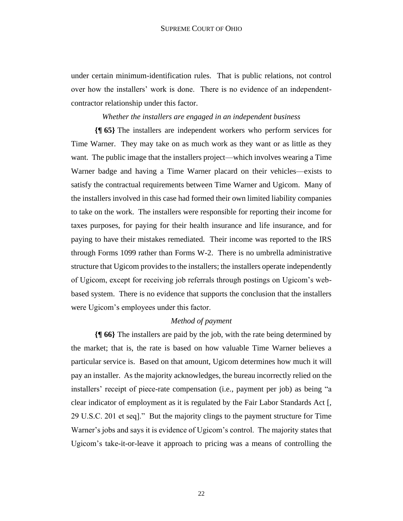under certain minimum-identification rules. That is public relations, not control over how the installers' work is done. There is no evidence of an independentcontractor relationship under this factor.

## *Whether the installers are engaged in an independent business*

**{¶ 65}** The installers are independent workers who perform services for Time Warner. They may take on as much work as they want or as little as they want. The public image that the installers project—which involves wearing a Time Warner badge and having a Time Warner placard on their vehicles—exists to satisfy the contractual requirements between Time Warner and Ugicom. Many of the installers involved in this case had formed their own limited liability companies to take on the work. The installers were responsible for reporting their income for taxes purposes, for paying for their health insurance and life insurance, and for paying to have their mistakes remediated. Their income was reported to the IRS through Forms 1099 rather than Forms W-2. There is no umbrella administrative structure that Ugicom provides to the installers; the installers operate independently of Ugicom, except for receiving job referrals through postings on Ugicom's webbased system. There is no evidence that supports the conclusion that the installers were Ugicom's employees under this factor.

#### *Method of payment*

**{¶ 66}** The installers are paid by the job, with the rate being determined by the market; that is, the rate is based on how valuable Time Warner believes a particular service is. Based on that amount, Ugicom determines how much it will pay an installer. As the majority acknowledges, the bureau incorrectly relied on the installers' receipt of piece-rate compensation (i.e., payment per job) as being "a clear indicator of employment as it is regulated by the Fair Labor Standards Act [, 29 U.S.C. 201 et seq]." But the majority clings to the payment structure for Time Warner's jobs and says it is evidence of Ugicom's control. The majority states that Ugicom's take-it-or-leave it approach to pricing was a means of controlling the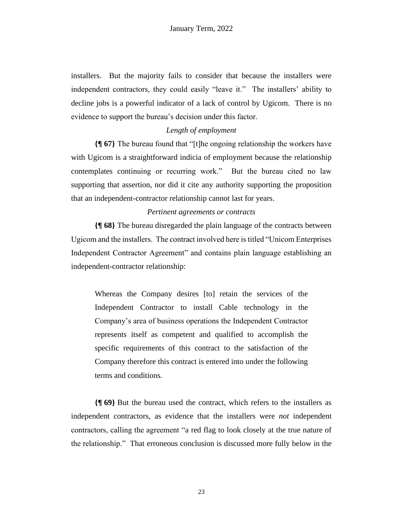installers. But the majority fails to consider that because the installers were independent contractors, they could easily "leave it." The installers' ability to decline jobs is a powerful indicator of a lack of control by Ugicom. There is no evidence to support the bureau's decision under this factor.

# *Length of employment*

**{¶ 67}** The bureau found that "[t]he ongoing relationship the workers have with Ugicom is a straightforward indicia of employment because the relationship contemplates continuing or recurring work." But the bureau cited no law supporting that assertion, nor did it cite any authority supporting the proposition that an independent-contractor relationship cannot last for years.

## *Pertinent agreements or contracts*

**{¶ 68}** The bureau disregarded the plain language of the contracts between Ugicom and the installers. The contract involved here is titled "Unicom Enterprises Independent Contractor Agreement" and contains plain language establishing an independent-contractor relationship:

Whereas the Company desires [to] retain the services of the Independent Contractor to install Cable technology in the Company's area of business operations the Independent Contractor represents itself as competent and qualified to accomplish the specific requirements of this contract to the satisfaction of the Company therefore this contract is entered into under the following terms and conditions.

**{¶ 69}** But the bureau used the contract, which refers to the installers as independent contractors, as evidence that the installers were *not* independent contractors, calling the agreement "a red flag to look closely at the true nature of the relationship." That erroneous conclusion is discussed more fully below in the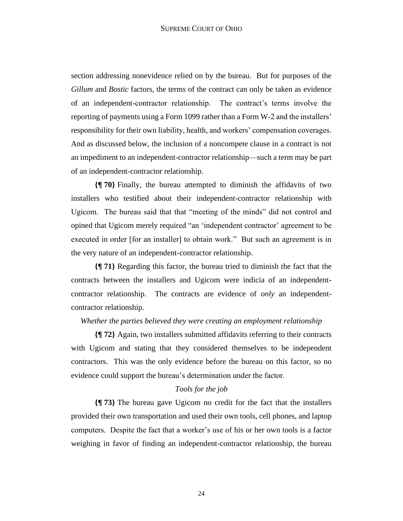section addressing nonevidence relied on by the bureau. But for purposes of the *Gillum* and *Bostic* factors, the terms of the contract can only be taken as evidence of an independent-contractor relationship. The contract's terms involve the reporting of payments using a Form 1099 rather than a Form W-2 and the installers' responsibility for their own liability, health, and workers' compensation coverages. And as discussed below, the inclusion of a noncompete clause in a contract is not an impediment to an independent-contractor relationship—such a term may be part of an independent-contractor relationship.

**{¶ 70}** Finally, the bureau attempted to diminish the affidavits of two installers who testified about their independent-contractor relationship with Ugicom. The bureau said that that "meeting of the minds" did not control and opined that Ugicom merely required "an 'independent contractor' agreement to be executed in order [for an installer] to obtain work." But such an agreement is in the very nature of an independent-contractor relationship.

**{¶ 71}** Regarding this factor, the bureau tried to diminish the fact that the contracts between the installers and Ugicom were indicia of an independentcontractor relationship. The contracts are evidence of *only* an independentcontractor relationship.

## *Whether the parties believed they were creating an employment relationship*

**{¶ 72}** Again, two installers submitted affidavits referring to their contracts with Ugicom and stating that they considered themselves to be independent contractors. This was the only evidence before the bureau on this factor, so no evidence could support the bureau's determination under the factor.

## *Tools for the job*

**{¶ 73}** The bureau gave Ugicom no credit for the fact that the installers provided their own transportation and used their own tools, cell phones, and laptop computers. Despite the fact that a worker's use of his or her own tools is a factor weighing in favor of finding an independent-contractor relationship, the bureau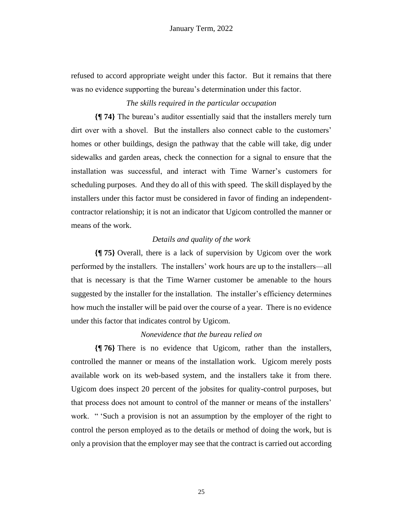refused to accord appropriate weight under this factor. But it remains that there was no evidence supporting the bureau's determination under this factor.

# *The skills required in the particular occupation*

**{¶ 74}** The bureau's auditor essentially said that the installers merely turn dirt over with a shovel. But the installers also connect cable to the customers' homes or other buildings, design the pathway that the cable will take, dig under sidewalks and garden areas, check the connection for a signal to ensure that the installation was successful, and interact with Time Warner's customers for scheduling purposes. And they do all of this with speed. The skill displayed by the installers under this factor must be considered in favor of finding an independentcontractor relationship; it is not an indicator that Ugicom controlled the manner or means of the work.

## *Details and quality of the work*

**{¶ 75}** Overall, there is a lack of supervision by Ugicom over the work performed by the installers. The installers' work hours are up to the installers—all that is necessary is that the Time Warner customer be amenable to the hours suggested by the installer for the installation. The installer's efficiency determines how much the installer will be paid over the course of a year. There is no evidence under this factor that indicates control by Ugicom.

## *Nonevidence that the bureau relied on*

**{¶ 76}** There is no evidence that Ugicom, rather than the installers, controlled the manner or means of the installation work. Ugicom merely posts available work on its web-based system, and the installers take it from there. Ugicom does inspect 20 percent of the jobsites for quality-control purposes, but that process does not amount to control of the manner or means of the installers' work. " 'Such a provision is not an assumption by the employer of the right to control the person employed as to the details or method of doing the work, but is only a provision that the employer may see that the contract is carried out according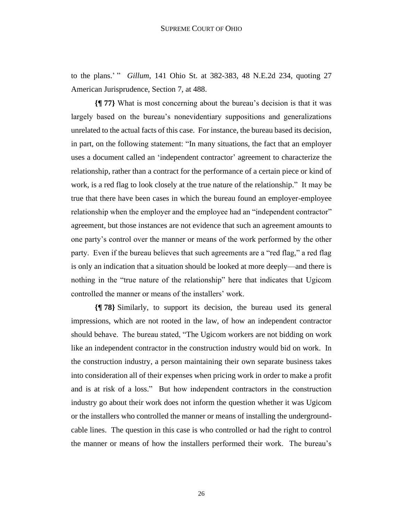to the plans.' " *Gillum*, 141 Ohio St. at 382-383, 48 N.E.2d 234, quoting 27 American Jurisprudence, Section 7, at 488.

**{¶ 77}** What is most concerning about the bureau's decision is that it was largely based on the bureau's nonevidentiary suppositions and generalizations unrelated to the actual facts of this case. For instance, the bureau based its decision, in part, on the following statement: "In many situations, the fact that an employer uses a document called an 'independent contractor' agreement to characterize the relationship, rather than a contract for the performance of a certain piece or kind of work, is a red flag to look closely at the true nature of the relationship." It may be true that there have been cases in which the bureau found an employer-employee relationship when the employer and the employee had an "independent contractor" agreement, but those instances are not evidence that such an agreement amounts to one party's control over the manner or means of the work performed by the other party. Even if the bureau believes that such agreements are a "red flag," a red flag is only an indication that a situation should be looked at more deeply—and there is nothing in the "true nature of the relationship" here that indicates that Ugicom controlled the manner or means of the installers' work.

**{¶ 78}** Similarly, to support its decision, the bureau used its general impressions, which are not rooted in the law, of how an independent contractor should behave. The bureau stated, "The Ugicom workers are not bidding on work like an independent contractor in the construction industry would bid on work. In the construction industry, a person maintaining their own separate business takes into consideration all of their expenses when pricing work in order to make a profit and is at risk of a loss." But how independent contractors in the construction industry go about their work does not inform the question whether it was Ugicom or the installers who controlled the manner or means of installing the undergroundcable lines. The question in this case is who controlled or had the right to control the manner or means of how the installers performed their work. The bureau's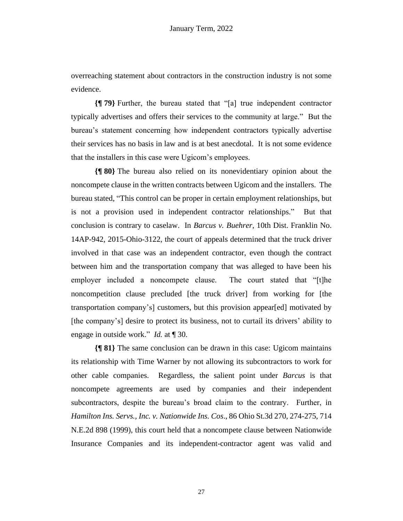overreaching statement about contractors in the construction industry is not some evidence.

**{¶ 79}** Further, the bureau stated that "[a] true independent contractor typically advertises and offers their services to the community at large." But the bureau's statement concerning how independent contractors typically advertise their services has no basis in law and is at best anecdotal. It is not some evidence that the installers in this case were Ugicom's employees.

**{¶ 80}** The bureau also relied on its nonevidentiary opinion about the noncompete clause in the written contracts between Ugicom and the installers. The bureau stated, "This control can be proper in certain employment relationships, but is not a provision used in independent contractor relationships." But that conclusion is contrary to caselaw. In *Barcus v. Buehrer*, 10th Dist. Franklin No. 14AP-942, 2015-Ohio-3122, the court of appeals determined that the truck driver involved in that case was an independent contractor, even though the contract between him and the transportation company that was alleged to have been his employer included a noncompete clause. The court stated that "[t]he noncompetition clause precluded [the truck driver] from working for [the transportation company's] customers, but this provision appear[ed] motivated by [the company's] desire to protect its business, not to curtail its drivers' ability to engage in outside work." *Id.* at ¶ 30.

**{¶ 81}** The same conclusion can be drawn in this case: Ugicom maintains its relationship with Time Warner by not allowing its subcontractors to work for other cable companies. Regardless, the salient point under *Barcus* is that noncompete agreements are used by companies and their independent subcontractors, despite the bureau's broad claim to the contrary. Further, in *Hamilton Ins. Servs., Inc. v. Nationwide Ins. Cos*., 86 Ohio St.3d 270, 274-275, 714 N.E.2d 898 (1999), this court held that a noncompete clause between Nationwide Insurance Companies and its independent-contractor agent was valid and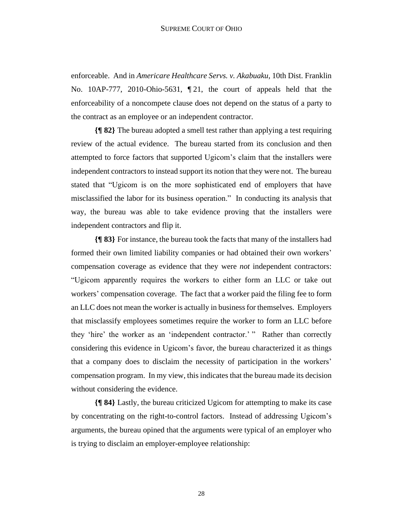enforceable. And in *Americare Healthcare Servs. v. Akabuaku*, 10th Dist. Franklin No. 10AP-777, 2010-Ohio-5631, ¶ 21, the court of appeals held that the enforceability of a noncompete clause does not depend on the status of a party to the contract as an employee or an independent contractor.

**{¶ 82}** The bureau adopted a smell test rather than applying a test requiring review of the actual evidence. The bureau started from its conclusion and then attempted to force factors that supported Ugicom's claim that the installers were independent contractors to instead support its notion that they were not. The bureau stated that "Ugicom is on the more sophisticated end of employers that have misclassified the labor for its business operation." In conducting its analysis that way, the bureau was able to take evidence proving that the installers were independent contractors and flip it.

**{¶ 83}** For instance, the bureau took the facts that many of the installers had formed their own limited liability companies or had obtained their own workers' compensation coverage as evidence that they were *not* independent contractors: "Ugicom apparently requires the workers to either form an LLC or take out workers' compensation coverage. The fact that a worker paid the filing fee to form an LLC does not mean the worker is actually in business for themselves. Employers that misclassify employees sometimes require the worker to form an LLC before they 'hire' the worker as an 'independent contractor.' " Rather than correctly considering this evidence in Ugicom's favor, the bureau characterized it as things that a company does to disclaim the necessity of participation in the workers' compensation program. In my view, this indicates that the bureau made its decision without considering the evidence.

**{¶ 84}** Lastly, the bureau criticized Ugicom for attempting to make its case by concentrating on the right-to-control factors. Instead of addressing Ugicom's arguments, the bureau opined that the arguments were typical of an employer who is trying to disclaim an employer-employee relationship: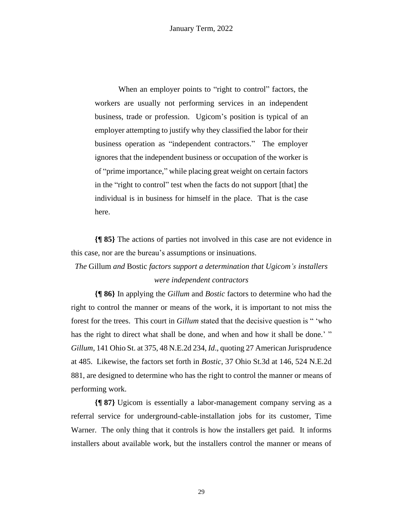When an employer points to "right to control" factors, the workers are usually not performing services in an independent business, trade or profession. Ugicom's position is typical of an employer attempting to justify why they classified the labor for their business operation as "independent contractors." The employer ignores that the independent business or occupation of the worker is of "prime importance," while placing great weight on certain factors in the "right to control" test when the facts do not support [that] the individual is in business for himself in the place. That is the case here.

**{¶ 85}** The actions of parties not involved in this case are not evidence in this case, nor are the bureau's assumptions or insinuations.

*The* Gillum *and* Bostic *factors support a determination that Ugicom's installers* 

## *were independent contractors*

**{¶ 86}** In applying the *Gillum* and *Bostic* factors to determine who had the right to control the manner or means of the work, it is important to not miss the forest for the trees. This court in *Gillum* stated that the decisive question is " 'who has the right to direct what shall be done, and when and how it shall be done.' " *Gillum*, 141 Ohio St. at 375, 48 N.E.2d 234, *Id*., quoting 27 American Jurisprudence at 485. Likewise, the factors set forth in *Bostic*, 37 Ohio St.3d at 146, 524 N.E.2d 881, are designed to determine who has the right to control the manner or means of performing work.

**{¶ 87}** Ugicom is essentially a labor-management company serving as a referral service for underground-cable-installation jobs for its customer, Time Warner. The only thing that it controls is how the installers get paid. It informs installers about available work, but the installers control the manner or means of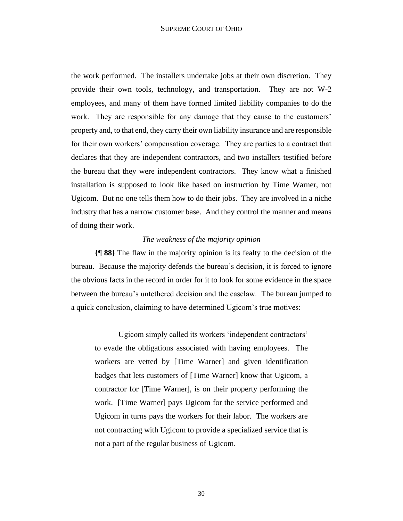the work performed. The installers undertake jobs at their own discretion. They provide their own tools, technology, and transportation. They are not W-2 employees, and many of them have formed limited liability companies to do the work. They are responsible for any damage that they cause to the customers' property and, to that end, they carry their own liability insurance and are responsible for their own workers' compensation coverage. They are parties to a contract that declares that they are independent contractors, and two installers testified before the bureau that they were independent contractors. They know what a finished installation is supposed to look like based on instruction by Time Warner, not Ugicom. But no one tells them how to do their jobs. They are involved in a niche industry that has a narrow customer base. And they control the manner and means of doing their work.

## *The weakness of the majority opinion*

**{¶ 88}** The flaw in the majority opinion is its fealty to the decision of the bureau. Because the majority defends the bureau's decision, it is forced to ignore the obvious facts in the record in order for it to look for some evidence in the space between the bureau's untethered decision and the caselaw. The bureau jumped to a quick conclusion, claiming to have determined Ugicom's true motives:

Ugicom simply called its workers 'independent contractors' to evade the obligations associated with having employees. The workers are vetted by [Time Warner] and given identification badges that lets customers of [Time Warner] know that Ugicom, a contractor for [Time Warner], is on their property performing the work. [Time Warner] pays Ugicom for the service performed and Ugicom in turns pays the workers for their labor. The workers are not contracting with Ugicom to provide a specialized service that is not a part of the regular business of Ugicom.